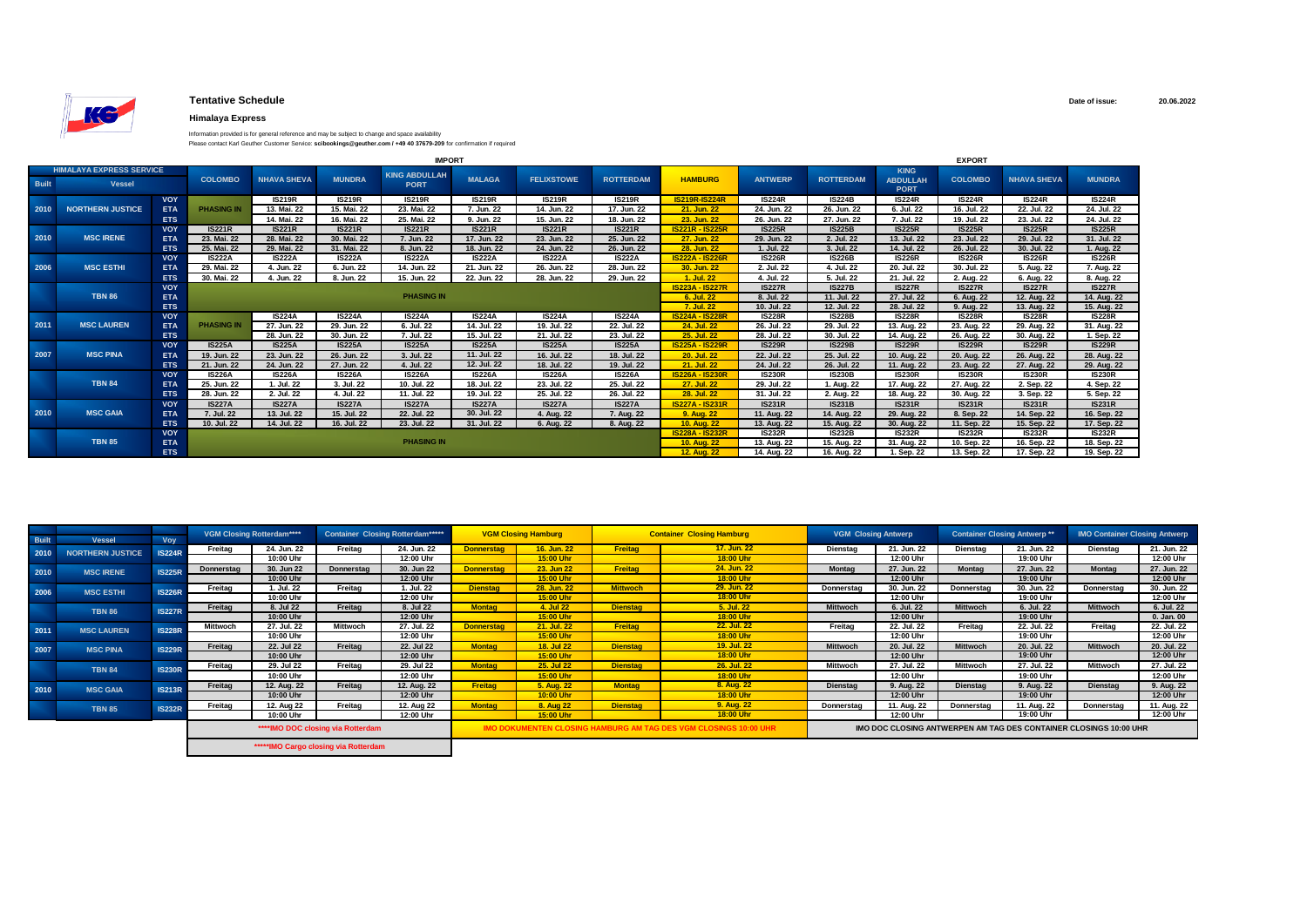

## **Tentative Schedule**

## **Himalaya Express**

Information provided is for general reference and may be subject to change and space availability

| Please contact Karl Geuther Customer Service: scibookings@geuther.com / +49 40 37679-209 for confirmation if required |  |
|-----------------------------------------------------------------------------------------------------------------------|--|
|-----------------------------------------------------------------------------------------------------------------------|--|

| <b>IMPORT</b> |                                 |            |                   |                    |               |                      |               |                   | <b>EXPORT</b>    |                        |                |                  |                                |                |                    |               |
|---------------|---------------------------------|------------|-------------------|--------------------|---------------|----------------------|---------------|-------------------|------------------|------------------------|----------------|------------------|--------------------------------|----------------|--------------------|---------------|
|               | <b>HIMALAYA EXPRESS SERVICE</b> |            |                   |                    |               | <b>KING ABDULLAH</b> |               |                   |                  |                        |                |                  | <b>KING</b>                    |                |                    |               |
| <b>Built</b>  | <b>Vessel</b>                   |            | <b>COLOMBO</b>    | <b>NHAVA SHEVA</b> | <b>MUNDRA</b> | <b>PORT</b>          | <b>MALAGA</b> | <b>FELIXSTOWE</b> | <b>ROTTERDAM</b> | <b>HAMBURG</b>         | <b>ANTWERP</b> | <b>ROTTERDAM</b> | <b>ABDULLAH</b><br><b>PORT</b> | <b>COLOMBO</b> | <b>NHAVA SHEVA</b> | <b>MUNDRA</b> |
|               |                                 | <b>VOY</b> |                   | <b>IS219R</b>      | <b>IS219R</b> | <b>IS219R</b>        | <b>IS219R</b> | <b>IS219R</b>     | <b>IS219R</b>    | <b>IS219R-IS224R</b>   | <b>IS224R</b>  | <b>IS224B</b>    | <b>IS224R</b>                  | <b>IS224R</b>  | <b>IS224R</b>      | <b>IS224R</b> |
| 2010          | <b>NORTHERN JUSTICE</b>         | ETA        | <b>PHASING IN</b> | 13. Mai. 22        | 15. Mai. 22   | 23. Mai. 22          | 7. Jun. 22    | 14. Jun. 22       | 17. Jun. 22      | 21. Jun. 22            | 24. Jun. 22    | 26. Jun. 22      | 6. Jul. 22                     | 16. Jul. 22    | 22. Jul. 22        | 24. Jul. 22   |
|               |                                 | <b>ETS</b> |                   | 14. Mai. 22        | 16. Mai. 22   | 25. Mai. 22          | 9. Jun. 22    | 15. Jun. 22       | 18. Jun. 22      | 23. Jun. 22            | 26. Jun. 22    | 27. Jun. 22      | 7. Jul. 22                     | 19. Jul. 22    | 23. Jul. 22        | 24. Jul. 22   |
|               |                                 | <b>VOY</b> | <b>IS221R</b>     | <b>IS221R</b>      | <b>IS221R</b> | <b>IS221R</b>        | <b>IS221R</b> | <b>IS221R</b>     | <b>IS221R</b>    | <b>IS221R - IS225R</b> | <b>IS225R</b>  | <b>IS225B</b>    | <b>IS225R</b>                  | <b>IS225R</b>  | <b>IS225R</b>      | <b>IS225R</b> |
| 2010          | <b>MSC IRENE</b>                | <b>ETA</b> | 23. Mai. 22       | 28. Mai. 22        | 30. Mai. 22   | 7. Jun. 22           | 17. Jun. 22   | 23. Jun. 22       | 25. Jun. 22      | 27. Jun. 22            | 29. Jun. 22    | 2. Jul. 22       | 13. Jul. 22                    | 23. Jul. 22    | 29. Jul. 22        | 31. Jul. 22   |
|               |                                 | <b>ETS</b> | 25. Mai. 22       | 29. Mai. 22        | 31. Mai. 22   | 8. Jun. 22           | 18. Jun. 22   | 24. Jun. 22       | 26. Jun. 22      | 28. Jun. 22            | 1. Jul. 22     | 3. Jul. 22       | 14. Jul. 22                    | 26. Jul. 22    | 30. Jul. 22        | 1. Aug. 22    |
|               |                                 | <b>VOY</b> | <b>IS222A</b>     | <b>IS222A</b>      | <b>IS222A</b> | <b>IS222A</b>        | <b>IS222A</b> | <b>IS222A</b>     | <b>IS222A</b>    | <b>IS222A - IS226R</b> | <b>IS226R</b>  | <b>IS226B</b>    | <b>IS226R</b>                  | <b>IS226R</b>  | <b>IS226R</b>      | <b>IS226R</b> |
| 2006          | <b>MSC ESTHI</b>                | <b>ETA</b> | 29. Mai. 22       | 4. Jun. 22         | 6. Jun. 22    | 14. Jun. 22          | 21. Jun. 22   | 26. Jun. 22       | 28. Jun. 22      | 30. Jun. 22            | 2. Jul. 22     | 4. Jul. 22       | 20. Jul. 22                    | 30. Jul. 22    | 5. Aug. 22         | 7. Aug. 22    |
|               |                                 | <b>ETS</b> | 30. Mai. 22       | 4. Jun. 22         | 8. Jun. 22    | 15. Jun. 22          | 22. Jun. 22   | 28. Jun. 22       | 29. Jun. 22      | 1. Jul. 22             | 4. Jul. 22     | 5. Jul. 22       | 21. Jul. 22                    | 2. Aug. 22     | 6. Aug. 22         | 8. Aug. 22    |
|               |                                 | <b>VOY</b> |                   |                    |               |                      |               |                   |                  | <b>IS223A - IS227R</b> | <b>IS227R</b>  | <b>IS227B</b>    | <b>IS227R</b>                  | <b>IS227R</b>  | <b>IS227R</b>      | <b>IS227R</b> |
|               | <b>TBN 86</b>                   | <b>ETA</b> |                   |                    |               | <b>PHASING IN</b>    |               |                   |                  | 6. Jul. 22             | 8. Jul. 22     | 11. Jul. 22      | 27. Jul. 22                    | 6. Aug. 22     | 12. Aug. 22        | 14. Aug. 22   |
|               |                                 | <b>ETS</b> |                   |                    |               |                      |               |                   |                  | 7. Jul. 22             | 10. Jul. 22    | 12. Jul. 22      | 28. Jul. 22                    | 9. Aug. 22     | 13. Aug. 22        | 15. Aug. 22   |
|               |                                 | <b>VOY</b> |                   | <b>IS224A</b>      | <b>IS224A</b> | <b>IS224A</b>        | <b>IS224A</b> | <b>IS224A</b>     | <b>IS224A</b>    | <b>IS224A - IS228R</b> | <b>IS228R</b>  | <b>IS228B</b>    | <b>IS228R</b>                  | <b>IS228R</b>  | <b>IS228R</b>      | <b>IS228R</b> |
| 2011          | <b>MSC LAUREN</b>               | <b>ETA</b> | <b>PHASING IN</b> | 27. Jun. 22        | 29. Jun. 22   | 6. Jul. 22           | 14. Jul. 22   | 19. Jul. 22       | 22. Jul. 22      | 24. Jul. 22            | 26. Jul. 22    | 29. Jul. 22      | 13. Aug. 22                    | 23. Aug. 22    | 29. Aug. 22        | 31. Aug. 22   |
|               |                                 | <b>ETS</b> |                   | 28. Jun. 22        | 30. Jun. 22   | 7. Jul. 22           | 15. Jul. 22   | 21. Jul. 22       | 23. Jul. 22      | 25. Jul. 22            | 28. Jul. 22    | 30. Jul. 22      | 14. Aug. 22                    | 26. Aug. 22    | 30. Aug. 22        | 1. Sep. 22    |
|               |                                 | VOY        | <b>IS225A</b>     | <b>IS225A</b>      | <b>IS225A</b> | <b>IS225A</b>        | <b>IS225A</b> | <b>IS225A</b>     | <b>IS225A</b>    | <b>IS225A - IS229R</b> | <b>IS229R</b>  | <b>IS229B</b>    | <b>IS229R</b>                  | <b>IS229R</b>  | <b>IS229R</b>      | <b>IS229R</b> |
| 2007          | <b>MSC PINA</b>                 | <b>ETA</b> | 19. Jun. 22       | 23. Jun. 22        | 26. Jun. 22   | 3. Jul. 22           | 11. Jul. 22   | 16. Jul. 22       | 18. Jul. 22      | 20. Jul. 22            | 22. Jul. 22    | 25. Jul. 22      | 10. Aug. 22                    | 20. Aug. 22    | 26. Aug. 22        | 28. Aug. 22   |
|               |                                 | <b>ETS</b> | 21. Jun. 22       | 24. Jun. 22        | 27. Jun. 22   | 4. Jul. 22           | 12. Jul. 22   | 18. Jul. 22       | 19. Jul. 22      | 21. Jul. 22            | 24. Jul. 22    | 26. Jul. 22      | 11. Aug. 22                    | 23. Aug. 22    | 27. Aug. 22        | 29. Aug. 22   |
|               |                                 | VOY        | <b>IS226A</b>     | <b>IS226A</b>      | <b>IS226A</b> | <b>IS226A</b>        | <b>IS226A</b> | <b>IS226A</b>     | <b>IS226A</b>    | <b>IS226A - IS230R</b> | <b>IS230R</b>  | <b>IS230B</b>    | <b>IS230R</b>                  | <b>IS230R</b>  | <b>IS230R</b>      | <b>IS230R</b> |
|               | <b>TBN 84</b>                   | <b>ETA</b> | 25. Jun. 22       | 1. Jul. 22         | 3. Jul. 22    | 10. Jul. 22          | 18. Jul. 22   | 23. Jul. 22       | 25. Jul. 22      | 27. Jul. 22            | 29. Jul. 22    | 1. Aug. 22       | 17. Aug. 22                    | 27. Aug. 22    | 2. Sep. 22         | 4. Sep. 22    |
|               |                                 | <b>ETS</b> | 28. Jun. 22       | 2. Jul. 22         | 4. Jul. 22    | 11. Jul. 22          | 19. Jul. 22   | 25. Jul. 22       | 26. Jul. 22      | 28. Jul. 22            | 31. Jul. 22    | 2. Aug. 22       | 18. Aug. 22                    | 30. Aug. 22    | 3. Sep. 22         | 5. Sep. 22    |
|               |                                 | <b>VOY</b> | <b>IS227A</b>     | <b>IS227A</b>      | <b>IS227A</b> | <b>IS227A</b>        | <b>IS227A</b> | <b>IS227A</b>     | <b>IS227A</b>    | <b>IS227A - IS231R</b> | <b>IS231R</b>  | <b>IS231B</b>    | <b>IS231R</b>                  | <b>IS231R</b>  | <b>IS231R</b>      | <b>IS231R</b> |
| 2010          | <b>MSC GAIA</b>                 | <b>ETA</b> | 7. Jul. 22        | 13. Jul. 22        | 15. Jul. 22   | 22. Jul. 22          | 30. Jul. 22   | 4. Aug. 22        | 7. Aug. 22       | 9. Aug. 22             | 11. Aug. 22    | 14. Aug. 22      | 29. Aug. 22                    | 8. Sep. 22     | 14. Sep. 22        | 16. Sep. 22   |
|               |                                 | <b>ETS</b> | 10. Jul. 22       | 14. Jul. 22        | 16. Jul. 22   | 23. Jul. 22          | 31. Jul. 22   | 6. Aug. 22        | 8. Aug. 22       | <b>10. Aug. 22</b>     | 13. Aug. 22    | 15. Aug. 22      | 30. Aug. 22                    | 11. Sep. 22    | 15. Sep. 22        | 17. Sep. 22   |
|               |                                 | <b>VOY</b> |                   |                    |               |                      |               |                   |                  | <b>IS228A - IS232R</b> | IS232R         | <b>IS232B</b>    | <b>IS232R</b>                  | IS232R         | <b>IS232R</b>      | <b>IS232R</b> |
|               | <b>TBN 85</b>                   | <b>ETA</b> |                   |                    |               | <b>PHASING IN</b>    |               |                   |                  | <b>10. Aug. 22</b>     | 13. Aug. 22    | 15. Aug. 22      | 31. Aug. 22                    | 10. Sep. 22    | 16. Sep. 22        | 18. Sep. 22   |
|               |                                 | <b>ETS</b> |                   |                    |               |                      |               |                   |                  | <b>12. Aug. 22</b>     | 14. Aug. 22    | 16. Aug. 22      | 1. Sep. 22                     | 13. Sep. 22    | 17. Sep. 22        | 19. Sep. 22   |

|              |                         |                                                                                                               | <b>VGM Closing Rotterdam****</b> |             | <b>Container Closing Rotterdam*****</b> |             | <b>VGM Closing Hamburg</b> |                   | <b>Container Closing Hamburg</b>                                  |                 | <b>VGM Closing Antwerp</b> |                   | <b>Container Closing Antwerp **</b> |                 | <b>IMO Container Closing Antwerp</b> |                 |             |           |             |         |             |
|--------------|-------------------------|---------------------------------------------------------------------------------------------------------------|----------------------------------|-------------|-----------------------------------------|-------------|----------------------------|-------------------|-------------------------------------------------------------------|-----------------|----------------------------|-------------------|-------------------------------------|-----------------|--------------------------------------|-----------------|-------------|-----------|-------------|---------|-------------|
| <b>Built</b> | <b>Vessel</b>           | Voy                                                                                                           |                                  |             |                                         |             |                            |                   |                                                                   |                 |                            |                   |                                     |                 |                                      |                 |             |           |             |         |             |
| 2010         | <b>NORTHERN JUSTICE</b> | <b>IS224R</b>                                                                                                 | Freitag                          | 24. Jun. 22 | Freitag                                 | 24. Jun. 22 | <b>Donnerstag</b>          | 16. Jun. 22       | Freitag                                                           | 17. Jun. 22     | Dienstag                   | 21. Jun. 22       | Dienstag                            | 21. Jun. 22     | Dienstag                             | 21. Jun. 22     |             |           |             |         |             |
|              |                         |                                                                                                               |                                  | 10:00 Uhr   |                                         | 12:00 Uhr   |                            | 15:00 Uhr         |                                                                   | 18:00 Uhr       |                            | 12:00 Uhr         |                                     | 19:00 Uhr       |                                      | 12:00 Uhr       |             |           |             |         |             |
| 2010         | <b>MSC IRENE</b>        | <b>IS225R</b>                                                                                                 | Donnerstag                       | 30. Jun 22  | Donnerstag                              | 30. Jun 22  | <b>Donnerstag</b>          | 23. Jun 22        | Freitag                                                           | 24. Jun. 22     | <b>Montag</b>              | 27. Jun. 22       | <b>Montag</b>                       | 27. Jun. 22     | <b>Montag</b>                        | 27. Jun. 22     |             |           |             |         |             |
|              |                         |                                                                                                               |                                  | 10:00 Uhr   |                                         | 12:00 Uhr   |                            | 15:00 Uhr         |                                                                   | 18:00 Uhr       |                            | 12:00 Uhr         |                                     | 19:00 Uhr       |                                      | 12:00 Uhr       |             |           |             |         |             |
| 2006         | <b>MSC ESTHI</b>        | <b>IS226R</b>                                                                                                 | Freitag                          | 1. Jul. 22  | Freitag                                 | 1. Jul. 22  | <b>Dienstag</b>            | 28. Jun. 22       | <b>Mittwoch</b>                                                   | 29. Jun. 22     | Donnerstag                 | 30. Jun. 22       | Donnerstag                          | 30. Jun. 22     | Donnerstag                           | 30. Jun. 22     |             |           |             |         |             |
|              |                         |                                                                                                               |                                  | 10:00 Uhr   |                                         | 12:00 Uhr   |                            | 15:00 Uhr         |                                                                   | 18:00 Uhr       |                            | 12:00 Uhr         |                                     | 19:00 Uhr       |                                      | 12:00 Uhr       |             |           |             |         |             |
|              | <b>TBN 86</b>           | <b>IS227R</b>                                                                                                 | Freitag                          | 8. Jul 22   | Freitag                                 | 8. Jul 22   | <b>Montag</b>              | 4. Jul 22         | <b>Dienstag</b>                                                   | 5. Jul. 22      | <b>Mittwoch</b>            | 6. Jul. 22        | <b>Mittwoch</b>                     | 6. Jul. 22      | <b>Mittwoch</b>                      | 6. Jul. 22      |             |           |             |         |             |
|              |                         |                                                                                                               |                                  | 10:00 Uhr   |                                         | 12:00 Uhr   |                            | 15:00 Uhr         |                                                                   | 18:00 Uhr       |                            | 12:00 Uhr         |                                     | 19:00 Uhr       |                                      | $0.$ Jan. $00$  |             |           |             |         |             |
| 2011         | <b>MSC LAUREN</b>       | <b>IS228R</b>                                                                                                 |                                  |             |                                         |             |                            | Mittwoch          | 27. Jul. 22                                                       | Mittwoch        | 27. Jul. 22                | <b>Donnerstag</b> | 21. Jul. 22                         | Freitag         | 22. Jul. 22                          | Freitag         | 22. Jul. 22 | Freitag   | 22. Jul. 22 | Freitag | 22. Jul. 22 |
|              |                         |                                                                                                               |                                  |             |                                         | 10:00 Uhr   |                            | 12:00 Uhr         |                                                                   | 15:00 Uhr       |                            | 18:00 Uhr         |                                     | 12:00 Uhr       |                                      | 19:00 Uhr       |             | 12:00 Uhr |             |         |             |
| 2007         | <b>MSC PINA</b>         | <b>IS229R</b>                                                                                                 | Freitag                          | 22. Jul 22  | Freitag                                 | 22. Jul 22  | <b>Montag</b>              | <b>18. Jul 22</b> | <b>Dienstag</b>                                                   | 19. Jul. 22     | <b>Mittwoch</b>            | 20. Jul. 22       | <b>Mittwoch</b>                     | 20. Jul. 22     | <b>Mittwoch</b>                      | 20. Jul. 22     |             |           |             |         |             |
|              |                         |                                                                                                               |                                  | 10:00 Uhr   |                                         | 12:00 Uhr   |                            | 15:00 Uhr         |                                                                   | 18:00 Uhr       |                            | 12:00 Uhr         |                                     | 19:00 Uhr       |                                      | 12:00 Uhr       |             |           |             |         |             |
|              | <b>TBN 84</b>           |                                                                                                               | <b>IS230R</b>                    | Freitag     | 29. Jul 22                              | Freitag     | 29. Jul 22                 | <b>Montag</b>     | 25. Jul 22                                                        | <b>Dienstag</b> | 26. Jul. 22                | <b>Mittwoch</b>   | 27. Jul. 22                         | <b>Mittwoch</b> | 27. Jul. 22                          | <b>Mittwoch</b> | 27. Jul. 22 |           |             |         |             |
|              |                         |                                                                                                               |                                  | 10:00 Uhr   |                                         | 12:00 Uhr   |                            | 15:00 Uhr         |                                                                   | 18:00 Uhr       |                            | 12:00 Uhr         |                                     | 19:00 Uhr       |                                      | 12:00 Uhr       |             |           |             |         |             |
| 2010         | <b>MSC GAIA</b>         | <b>IS213R</b>                                                                                                 | Freitag                          | 12. Aug. 22 | Freitag                                 | 12. Aug. 22 | Freitag                    | 5. Aug. 22        | <b>Montag</b>                                                     | 8. Aug. 22      | <b>Dienstag</b>            | 9. Aug. 22        | <b>Dienstag</b>                     | 9. Aug. 22      | <b>Dienstag</b>                      | 9. Aug. 22      |             |           |             |         |             |
|              |                         |                                                                                                               |                                  | 10:00 Uhr   |                                         | 12:00 Uhr   |                            | 10:00 Uhr         |                                                                   | 18:00 Uhr       |                            | 12:00 Uhr         |                                     | 19:00 Uhr       |                                      | 12:00 Uhr       |             |           |             |         |             |
|              | <b>TBN 85</b>           | <b>IS232R</b>                                                                                                 | Freitag                          | 12. Aug 22  | Freitag                                 | 12. Aug 22  | <b>Montag</b>              | 8. Aug 22         | <b>Dienstag</b>                                                   | 9. Aug. 22      | Donnerstag                 | 11. Aug. 22       | Donnerstag                          | 11. Aug. 22     | <b>Donnerstag</b>                    | 11. Aug. 22     |             |           |             |         |             |
|              |                         |                                                                                                               |                                  | 10:00 Uhr   |                                         | 12:00 Uhr   |                            | 15:00 Uhr         |                                                                   | 18:00 Uhr       |                            | 12:00 Uhr         |                                     | 19:00 Uhr       |                                      | 12:00 Uhr       |             |           |             |         |             |
|              |                         | **** IMO DOC closing via Rotterdam<br><b>IMO DOKUMENTEN CLOSING HAMBURG AM TAG DES VGM CLOSINGS 10:00 UHR</b> |                                  |             |                                         |             |                            |                   | IMO DOC CLOSING ANTWERPEN AM TAG DES CONTAINER CLOSINGS 10:00 UHR |                 |                            |                   |                                     |                 |                                      |                 |             |           |             |         |             |
|              |                         |                                                                                                               |                                  |             | *****IMO Cargo closing via Rotterdam    |             |                            |                   |                                                                   |                 |                            |                   |                                     |                 |                                      |                 |             |           |             |         |             |

**Date of issue: 20.06.2022**